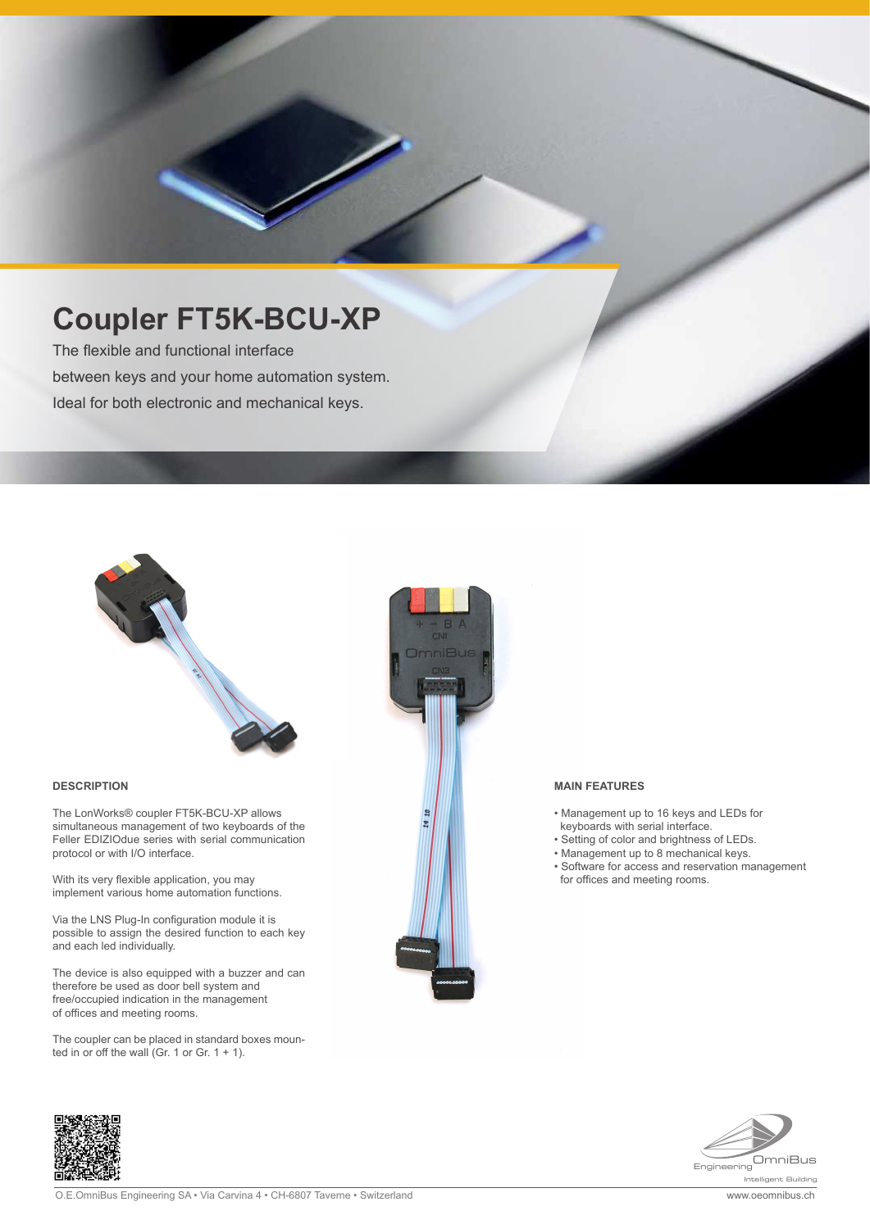# **Coupler FT5K-BCU-XP**

The flexible and functional interface between keys and your home automation system. Ideal for both electronic and mechanical keys.



#### **DESCRIPTION**

The LonWorks® coupler FT5K-BCU-XP allows simultaneous management of two keyboards of the Feller EDIZIOdue series with serial communication protocol or with I/O interface.

With its very flexible application, you may implement various home automation functions.

Via the LNS Plug-In configuration module it is possible to assign the desired function to each key and each led individually.

The device is also equipped with a buzzer and can therefore be used as door bell system and free/occupied indication in the management of offices and meeting rooms.

The coupler can be placed in standard boxes mounted in or off the wall (Gr. 1 or Gr.  $1 + 1$ ).



#### **MAIN FEATURES**

- Management up to 16 keys and LEDs for keyboards with serial interface.
- Setting of color and brightness of LEDs.
- Management up to 8 mechanical keys.
- Software for access and reservation management for offices and meeting rooms.



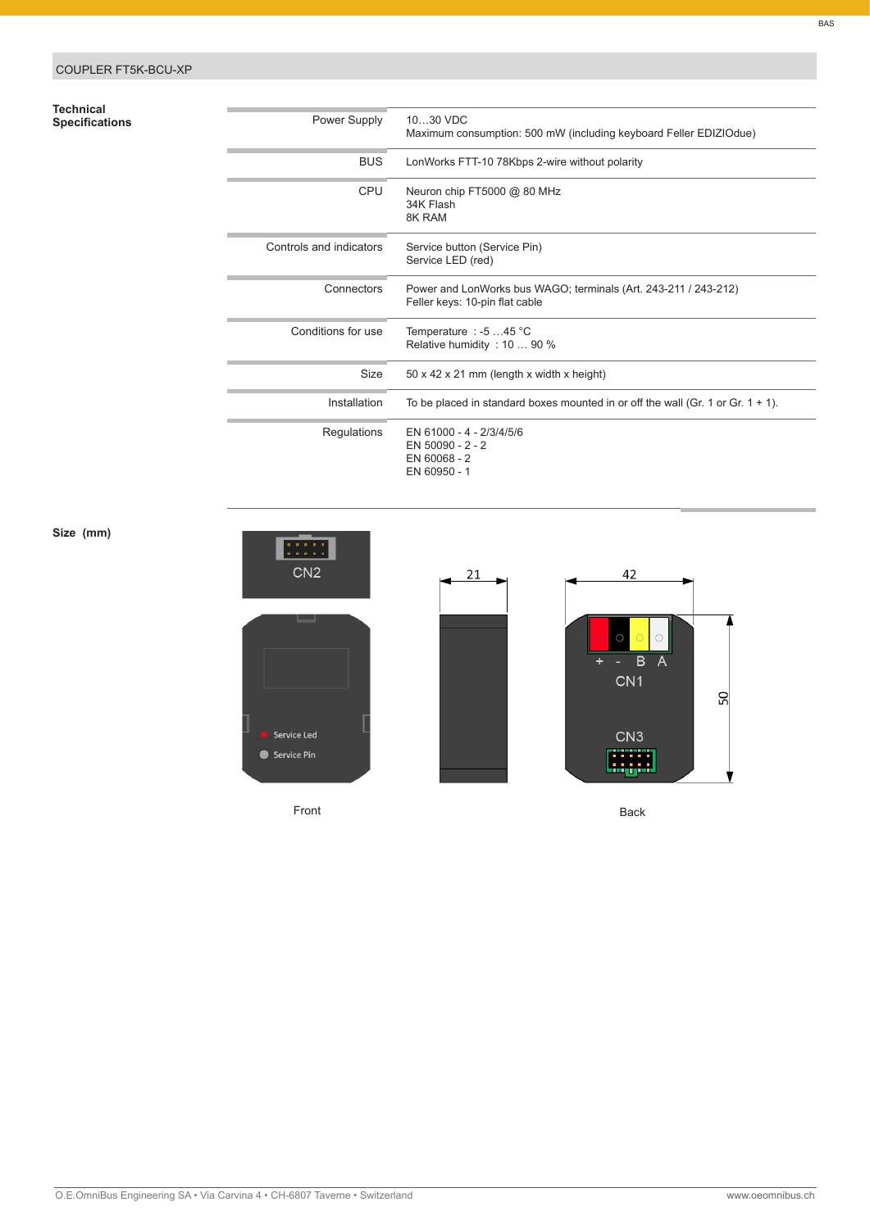## COUPLER FT5K-BCU-XP

## **Technical**

| Technical<br>Specifications | Power Supply            | 1030 VDC<br>Maximum consumption: 500 mW (including keyboard Feller EDIZIOdue)                     |
|-----------------------------|-------------------------|---------------------------------------------------------------------------------------------------|
|                             | <b>BUS</b>              | LonWorks FTT-10 78Kbps 2-wire without polarity                                                    |
|                             | <b>CPU</b>              | Neuron chip FT5000 @ 80 MHz<br>34K Flash<br>8K RAM                                                |
|                             | Controls and indicators | Service button (Service Pin)<br>Service LED (red)                                                 |
|                             | Connectors              | Power and LonWorks bus WAGO; terminals (Art. 243-211 / 243-212)<br>Feller keys: 10-pin flat cable |
|                             | Conditions for use      | Temperature : -5 45 °C<br>Relative humidity: 10  90 %                                             |
|                             | Size                    | $50 \times 42 \times 21$ mm (length x width x height)                                             |
|                             | Installation            | To be placed in standard boxes mounted in or off the wall (Gr. 1 or Gr. $1 + 1$ ).                |
|                             | Regulations             | EN 61000 - 4 - 2/3/4/5/6<br>EN 50090 - 2 - 2<br>EN 60068 - 2<br>EN 60950 - 1                      |

### **Size (mm)**



Front Back